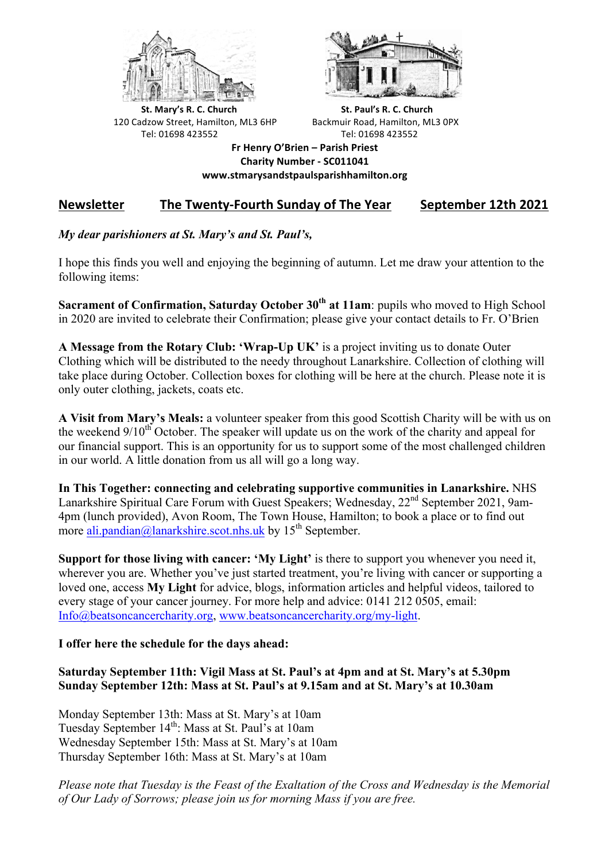



**St.** Mary's R. C. Church St. Paul's R. C. Church 120 Cadzow Street, Hamilton, ML3 6HP Backmuir Road, Hamilton, ML3 0PX Tel: 01698 423552 Tel: 01698 423552

**Fr Henry O'Brien – Parish Priest Charity Number - SC011041 www.stmarysandstpaulsparishhamilton.org**

## Newsletter The Twenty-Fourth Sunday of The Year September 12th 2021

## *My dear parishioners at St. Mary's and St. Paul's,*

I hope this finds you well and enjoying the beginning of autumn. Let me draw your attention to the following items:

**Sacrament of Confirmation, Saturday October 30th at 11am**: pupils who moved to High School in 2020 are invited to celebrate their Confirmation; please give your contact details to Fr. O'Brien

**A Message from the Rotary Club: 'Wrap-Up UK'** is a project inviting us to donate Outer Clothing which will be distributed to the needy throughout Lanarkshire. Collection of clothing will take place during October. Collection boxes for clothing will be here at the church. Please note it is only outer clothing, jackets, coats etc.

**A Visit from Mary's Meals:** a volunteer speaker from this good Scottish Charity will be with us on the weekend  $9/10^{th}$  October. The speaker will update us on the work of the charity and appeal for our financial support. This is an opportunity for us to support some of the most challenged children in our world. A little donation from us all will go a long way.

**In This Together: connecting and celebrating supportive communities in Lanarkshire.** NHS Lanarkshire Spiritual Care Forum with Guest Speakers; Wednesday, 22<sup>nd</sup> September 2021, 9am-4pm (lunch provided), Avon Room, The Town House, Hamilton; to book a place or to find out more ali.pandian@lanarkshire.scot.nhs.uk by  $15<sup>th</sup>$  September.

**Support for those living with cancer: 'My Light'** is there to support you whenever you need it, wherever you are. Whether you've just started treatment, you're living with cancer or supporting a loved one, access **My Light** for advice, blogs, information articles and helpful videos, tailored to every stage of your cancer journey. For more help and advice: 0141 212 0505, email: Info@beatsoncancercharity.org, www.beatsoncancercharity.org/my-light.

## **I offer here the schedule for the days ahead:**

## **Saturday September 11th: Vigil Mass at St. Paul's at 4pm and at St. Mary's at 5.30pm Sunday September 12th: Mass at St. Paul's at 9.15am and at St. Mary's at 10.30am**

Monday September 13th: Mass at St. Mary's at 10am Tuesday September 14<sup>th</sup>: Mass at St. Paul's at 10am Wednesday September 15th: Mass at St. Mary's at 10am Thursday September 16th: Mass at St. Mary's at 10am

*Please note that Tuesday is the Feast of the Exaltation of the Cross and Wednesday is the Memorial of Our Lady of Sorrows; please join us for morning Mass if you are free.*